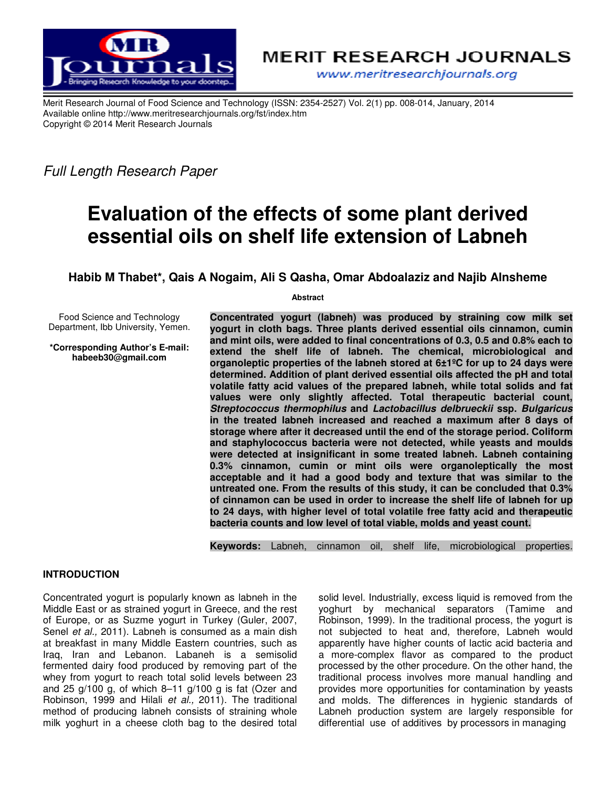



www.meritresearchjournals.org

Merit Research Journal of Food Science and Technology (ISSN: 2354-2527) Vol. 2(1) pp. 008-014, January, 2014 Available online http://www.meritresearchjournals.org/fst/index.htm Copyright © 2014 Merit Research Journals

Full Length Research Paper

# **Evaluation of the effects of some plant derived essential oils on shelf life extension of Labneh**

**Habib M Thabet\*, Qais A Nogaim, Ali S Qasha, Omar Abdoalaziz and Najib Alnsheme** 

**Abstract** 

Food Science and Technology Department, Ibb University, Yemen.

**\*Corresponding Author's E-mail: habeeb30@gmail.com** 

**Concentrated yogurt (labneh) was produced by straining cow milk set yogurt in cloth bags. Three plants derived essential oils cinnamon, cumin and mint oils, were added to final concentrations of 0.3, 0.5 and 0.8% each to extend the shelf life of labneh. The chemical, microbiological and organoleptic properties of the labneh stored at 6±1ºC for up to 24 days were determined. Addition of plant derived essential oils affected the pH and total volatile fatty acid values of the prepared labneh, while total solids and fat values were only slightly affected. Total therapeutic bacterial count, Streptococcus thermophilus and Lactobacillus delbrueckii ssp. Bulgaricus in the treated labneh increased and reached a maximum after 8 days of storage where after it decreased until the end of the storage period. Coliform and staphylococcus bacteria were not detected, while yeasts and moulds were detected at insignificant in some treated labneh. Labneh containing 0.3% cinnamon, cumin or mint oils were organoleptically the most acceptable and it had a good body and texture that was similar to the untreated one. From the results of this study, it can be concluded that 0.3% of cinnamon can be used in order to increase the shelf life of labneh for up to 24 days, with higher level of total volatile free fatty acid and therapeutic bacteria counts and low level of total viable, molds and yeast count.** 

**Keywords:** Labneh, cinnamon oil, shelf life, microbiological properties.

## **INTRODUCTION**

Concentrated yogurt is popularly known as labneh in the Middle East or as strained yogurt in Greece, and the rest of Europe, or as Suzme yogurt in Turkey (Guler, 2007, Senel et al., 2011). Labneh is consumed as a main dish at breakfast in many Middle Eastern countries, such as Iraq, Iran and Lebanon. Labaneh is a semisolid fermented dairy food produced by removing part of the whey from yogurt to reach total solid levels between 23 and 25 g/100 g, of which 8–11 g/100 g is fat (Ozer and Robinson, 1999 and Hilali et al., 2011). The traditional method of producing labneh consists of straining whole milk yoghurt in a cheese cloth bag to the desired total

solid level. Industrially, excess liquid is removed from the yoghurt by mechanical separators (Tamime and Robinson, 1999). In the traditional process, the yogurt is not subjected to heat and, therefore, Labneh would apparently have higher counts of lactic acid bacteria and a more-complex flavor as compared to the product processed by the other procedure. On the other hand, the traditional process involves more manual handling and provides more opportunities for contamination by yeasts and molds. The differences in hygienic standards of Labneh production system are largely responsible for differential use of additives by processors in managing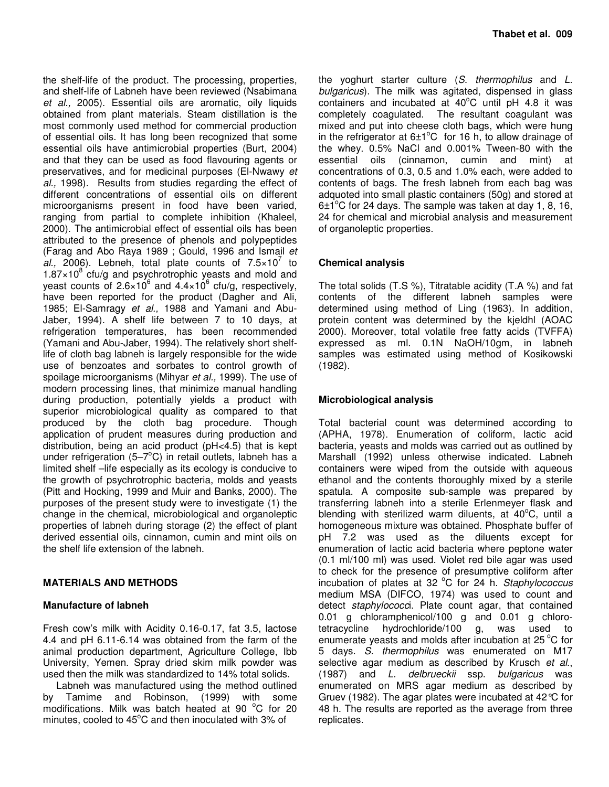**Thabet et al. 009** 

the shelf-life of the product. The processing, properties, and shelf-life of Labneh have been reviewed (Nsabimana et al., 2005). Essential oils are aromatic, oily liquids obtained from plant materials. Steam distillation is the most commonly used method for commercial production of essential oils. It has long been recognized that some essential oils have antimicrobial properties (Burt, 2004) and that they can be used as food flavouring agents or preservatives, and for medicinal purposes (El-Nwawy et al., 1998). Results from studies regarding the effect of different concentrations of essential oils on different microorganisms present in food have been varied, ranging from partial to complete inhibition (Khaleel, 2000). The antimicrobial effect of essential oils has been attributed to the presence of phenols and polypeptides (Farag and Abo Raya 1989 ; Gould, 1996 and Ismail et al., 2006). Lebneh, total plate counts of  $7.5 \times 10^7$  to  $1.87 \times 10^8$  cfu/g and psychrotrophic yeasts and mold and yeast counts of 2.6×10<sup>6</sup> and 4.4×10<sup>6</sup> cfu/g, respectively, have been reported for the product (Dagher and Ali, 1985; El-Samragy et al., 1988 and Yamani and Abu-Jaber, 1994). A shelf life between 7 to 10 days, at refrigeration temperatures, has been recommended (Yamani and Abu-Jaber, 1994). The relatively short shelflife of cloth bag labneh is largely responsible for the wide use of benzoates and sorbates to control growth of spoilage microorganisms (Mihyar et al., 1999). The use of modern processing lines, that minimize manual handling during production, potentially yields a product with superior microbiological quality as compared to that produced by the cloth bag procedure. Though application of prudent measures during production and distribution, being an acid product (pH<4.5) that is kept under refrigeration (5-7 $\textdegree$ C) in retail outlets, labneh has a limited shelf –life especially as its ecology is conducive to the growth of psychrotrophic bacteria, molds and yeasts (Pitt and Hocking, 1999 and Muir and Banks, 2000). The purposes of the present study were to investigate (1) the change in the chemical, microbiological and organoleptic properties of labneh during storage (2) the effect of plant derived essential oils, cinnamon, cumin and mint oils on the shelf life extension of the labneh.

# **MATERIALS AND METHODS**

# **Manufacture of labneh**

Fresh cow's milk with Acidity 0.16-0.17, fat 3.5, lactose 4.4 and pH 6.11-6.14 was obtained from the farm of the animal production department, Agriculture College, Ibb University, Yemen. Spray dried skim milk powder was used then the milk was standardized to 14% total solids.

Labneh was manufactured using the method outlined by Tamime and Robinson, (1999) with some modifications. Milk was batch heated at 90  $^{\circ}$ C for 20 minutes, cooled to  $45^{\circ}$ C and then inoculated with 3% of

the yoghurt starter culture  $(S.$  thermophilus and  $L.$ bulgaricus). The milk was agitated, dispensed in glass containers and incubated at  $40^{\circ}$ C until pH 4.8 it was completely coagulated. The resultant coagulant was mixed and put into cheese cloth bags, which were hung in the refrigerator at  $6\pm1\textdegree C$  for 16 h, to allow drainage of the whey. 0.5% NaCl and 0.001% Tween-80 with the essential oils (cinnamon, cumin and mint) at concentrations of 0.3, 0.5 and 1.0% each, were added to contents of bags. The fresh labneh from each bag was adquoted into small plastic containers (50g) and stored at  $6±1<sup>°</sup>C$  for 24 days. The sample was taken at day 1, 8, 16, 24 for chemical and microbial analysis and measurement of organoleptic properties.

# **Chemical analysis**

The total solids (T.S %), Titratable acidity (T.A %) and fat contents of the different labneh samples were determined using method of Ling (1963). In addition, protein content was determined by the kjeldhl (AOAC 2000). Moreover, total volatile free fatty acids (TVFFA) expressed as ml. 0.1N NaOH/10gm, in labneh samples was estimated using method of Kosikowski (1982).

# **Microbiological analysis**

Total bacterial count was determined according to (APHA, 1978). Enumeration of coliform, lactic acid bacteria, yeasts and molds was carried out as outlined by Marshall (1992) unless otherwise indicated. Labneh containers were wiped from the outside with aqueous ethanol and the contents thoroughly mixed by a sterile spatula. A composite sub-sample was prepared by transferring labneh into a sterile Erlenmeyer flask and blending with sterilized warm diluents, at  $40^{\circ}$ C, until a homogeneous mixture was obtained. Phosphate buffer of pH 7.2 was used as the diluents except for enumeration of lactic acid bacteria where peptone water (0.1 ml/100 ml) was used. Violet red bile agar was used to check for the presence of presumptive coliform after incubation of plates at 32 °C for 24 h. Staphylococcus medium MSA (DIFCO, 1974) was used to count and detect staphylococci. Plate count agar, that contained 0.01 g chloramphenicol/100 g and 0.01 g chloro-<br>tetracycline hydrochloride/100 g, was used to tetracycline hydrochloride/100 enumerate yeasts and molds after incubation at  $25^{\circ}$ C for 5 days. S. thermophilus was enumerated on M17 selective agar medium as described by Krusch et al., (1987) and L. delbrueckii ssp. bulgaricus was enumerated on MRS agar medium as described by Gruev (1982). The agar plates were incubated at 42°C for 48 h. The results are reported as the average from three replicates.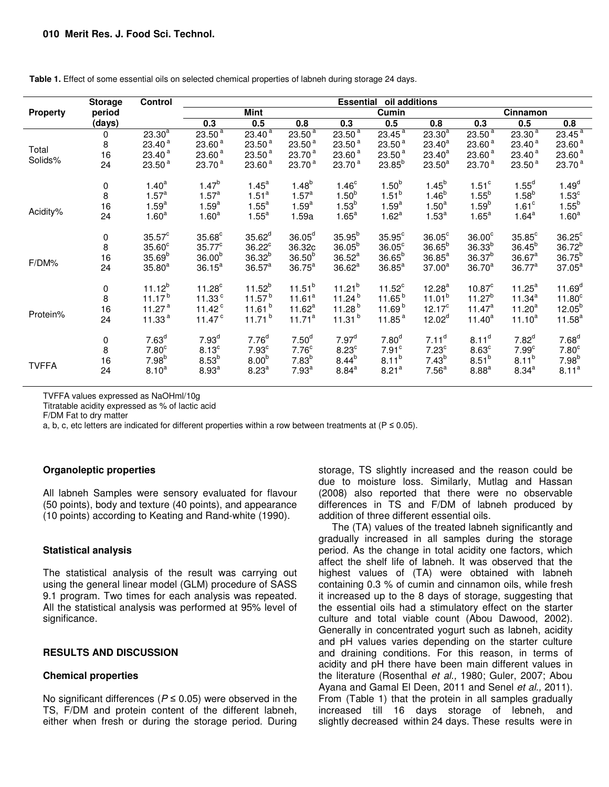|                  | <b>Storage</b> | Control            | <b>Essential</b><br>oil additions |                    |                    |                    |                    |                    |                    |                      |                    |  |
|------------------|----------------|--------------------|-----------------------------------|--------------------|--------------------|--------------------|--------------------|--------------------|--------------------|----------------------|--------------------|--|
| <b>Property</b>  | period         |                    | Mint                              |                    |                    | Cumin              |                    |                    | Cinnamon           |                      |                    |  |
|                  | (days)         |                    | 0.3                               | 0.5                | 0.8                | 0.3                | 0.5                | 0.8                | 0.3                | 0.5                  | 0.8                |  |
|                  | 0              | $23.30^{a}$        | 23.50 <sup>a</sup>                | $23.40^{a}$        | $23.50^{a}$        | 23.50 <sup>a</sup> | 23.45 <sup>a</sup> | $23.30^{a}$        | 23.50 <sup>a</sup> | $23.30^{a}$          | $23.45^{a}$        |  |
|                  | 8              | 23.40 <sup>a</sup> | 23.60 <sup>a</sup>                | 23.50 <sup>a</sup> | 23.50 <sup>a</sup> | 23.50 <sup>a</sup> | 23.50 <sup>a</sup> | $23.40^{a}$        | 23.60 <sup>a</sup> | 23.40 <sup>a</sup>   | 23.60 <sup>a</sup> |  |
| Total<br>Solids% | 16             | 23.40 <sup>a</sup> | 23.60 <sup>a</sup>                | 23.50 <sup>a</sup> | 23.70 <sup>a</sup> | 23.60 <sup>a</sup> | 23.50 <sup>a</sup> | $23.40^{a}$        | 23.60 <sup>a</sup> | 23.40 <sup>a</sup>   | 23.60 <sup>a</sup> |  |
|                  | 24             | 23.50 <sup>a</sup> | 23.70 <sup>a</sup>                | 23.60 <sup>a</sup> | 23.70 <sup>a</sup> | 23.70 <sup>a</sup> | $23.85^{b}$        | $23.50^a$          | 23.70 <sup>a</sup> | 23.50 <sup>a</sup>   | 23.70 <sup>a</sup> |  |
|                  | 0              | 1.40 <sup>a</sup>  | $1.47^{b}$                        | $1.45^a$           | $1.48^{b}$         | 1.46 <sup>c</sup>  | 1.50 <sup>b</sup>  | $1.45^{b}$         | 1.51 <sup>c</sup>  | $1.55^d$             | $1.49^{d}$         |  |
|                  | 8              | $1.57^a$           | $1.57^a$                          | $1.51^a$           | $1.57^a$           | $1.50^{b}$         | $1.51^{b}$         | $1.46^{b}$         | $1.55^{b}$         | 1.58 <sup>b</sup>    | 1.53 <sup>c</sup>  |  |
|                  | 16             | $1.59^{a}$         | $1.59^{a}$                        | $1.55^a$           | $1.59^{a}$         | 1.53 <sup>b</sup>  | $1.59^{a}$         | $1.50^a$           | $1.59^{b}$         | 1.61 <sup>c</sup>    | $1.55^{b}$         |  |
| Acidity%         | 24             | 1.60 <sup>a</sup>  | 1.60 <sup>a</sup>                 | $1.55^a$           | 1.59a              | $1.65^a$           | 1.62 <sup>a</sup>  | $1.53^{a}$         | $1.65^a$           | $1.64^a$             | 1.60 <sup>a</sup>  |  |
|                  | 0              | $35.57^{\circ}$    | $35.68^{\circ}$                   | $35.62^d$          | $36.05^d$          | $35.95^{b}$        | $35.95^{\circ}$    | $36.05^{\circ}$    | $36.00^\circ$      | $35.85$ <sup>c</sup> | $36.25^{\circ}$    |  |
|                  | 8              | $35.60^\circ$      | $35.77^c$                         | $36.22^{\circ}$    | 36.32c             | $36.05^{b}$        | $36.05^{\circ}$    | $36.65^{b}$        | $36.33^{b}$        | $36.45^{b}$          | $36.72^{b}$        |  |
| F/DM%            | 16             | $35.69^{b}$        | 36.00 <sup>b</sup>                | $36.32^{b}$        | $36.50^{b}$        | $36.52^a$          | $36.65^{b}$        | $36.85^{a}$        | $36.37^{b}$        | $36.67^a$            | $36.75^{b}$        |  |
|                  | 24             | $35.80^{a}$        | $36.15^a$                         | $36.57^a$          | $36.75^{\text{a}}$ | $36.62^a$          | $36.85^{\text{a}}$ | $37.00^a$          | $36.70^{a}$        | $36.77^a$            | $37.05^a$          |  |
|                  | 0              | $11.12^{b}$        | $11.28^c$                         | $11.52^{b}$        | $11.51^{b}$        | $11.21^{b}$        | $11.52^c$          | $12.28^{a}$        | $10.87^c$          | $11.25^a$            | 11.69 <sup>d</sup> |  |
|                  | 8              | $11.17^{b}$        | 11.33 <sup>c</sup>                | 11.57 <sup>b</sup> | 11.61 <sup>a</sup> | $11.24^{b}$        | 11.65 <sup>b</sup> | $11.01^b$          | $11.27^{b}$        | $11.34^{a}$          | 11.80 <sup>c</sup> |  |
|                  | 16             | 11.27 $a$          | 11.42 $^{\circ}$                  | 11.61 $b$          | $11.62^a$          | 11.28 $b$          | 11.69 <sup>b</sup> | $12.17^c$          | $11.47^a$          | $11.20^{a}$          | $12.05^{b}$        |  |
| Protein%         | 24             | 11.33 $a$          | 11.47 $\degree$                   | $11.71^{b}$        | 11.71 <sup>a</sup> | 11.31 <sup>b</sup> | 11.85 $a$          | 12.02 <sup>d</sup> | $11.40^{a}$        | $11.10^{a}$          | $11.58^a$          |  |
|                  | 0              | 7.63 <sup>d</sup>  | 7.93 <sup>d</sup>                 | 7.76 <sup>d</sup>  | 7.50 <sup>d</sup>  | 7.97 <sup>d</sup>  | 7.80 <sup>d</sup>  | 7.11 <sup>d</sup>  | $8.11^{d}$         | $7.82^d$             | 7.68 <sup>d</sup>  |  |
|                  | 8              | 7.80 <sup>c</sup>  | 8.13 <sup>c</sup>                 | 7.93 <sup>c</sup>  | 7.76 <sup>c</sup>  | $8.23^c$           | 7.91 <sup>c</sup>  | 7.23 <sup>c</sup>  | 8.63 <sup>c</sup>  | 7.99 <sup>c</sup>    | 7.80 <sup>c</sup>  |  |
|                  | 16             | $7.98^{b}$         | $8.53^{b}$                        | 8.00 <sup>b</sup>  | $7.83^{b}$         | $8.44^{b}$         | $8.11^{b}$         | $7.43^{b}$         | $8.51^{b}$         | $8.11^{b}$           | $7.98^{b}$         |  |
| <b>TVFFA</b>     | 24             | $8.10^{a}$         | 8.93 <sup>a</sup>                 | 8.23 <sup>a</sup>  | 7.93 <sup>a</sup>  | $8.84^{a}$         | 8.21 <sup>a</sup>  | 7.56 <sup>a</sup>  | 8.88 <sup>a</sup>  | $8.34^{a}$           | 8.11 <sup>a</sup>  |  |

**Table 1.** Effect of some essential oils on selected chemical properties of labneh during storage 24 days.

TVFFA values expressed as NaOHml/10g

Titratable acidity expressed as % of lactic acid

F/DM Fat to dry matter

a, b, c, etc letters are indicated for different properties within a row between treatments at ( $P \le 0.05$ ).

## **Organoleptic properties**

All labneh Samples were sensory evaluated for flavour (50 points), body and texture (40 points), and appearance (10 points) according to Keating and Rand-white (1990).

#### **Statistical analysis**

The statistical analysis of the result was carrying out using the general linear model (GLM) procedure of SASS 9.1 program. Two times for each analysis was repeated. All the statistical analysis was performed at 95% level of significance.

## **RESULTS AND DISCUSSION**

## **Chemical properties**

No significant differences ( $P \le 0.05$ ) were observed in the TS, F/DM and protein content of the different labneh, either when fresh or during the storage period. During storage, TS slightly increased and the reason could be due to moisture loss. Similarly, Mutlag and Hassan (2008) also reported that there were no observable differences in TS and F/DM of labneh produced by addition of three different essential oils.

The (TA) values of the treated labneh significantly and gradually increased in all samples during the storage period. As the change in total acidity one factors, which affect the shelf life of labneh. It was observed that the highest values of (TA) were obtained with labneh containing 0.3 % of cumin and cinnamon oils, while fresh it increased up to the 8 days of storage, suggesting that the essential oils had a stimulatory effect on the starter culture and total viable count (Abou Dawood, 2002). Generally in concentrated yogurt such as labneh, acidity and pH values varies depending on the starter culture and draining conditions. For this reason, in terms of acidity and pH there have been main different values in the literature (Rosenthal et al., 1980; Guler, 2007; Abou Ayana and Gamal El Deen, 2011 and Senel et al., 2011). From (Table 1) that the protein in all samples gradually increased till 16 days storage of lebneh, and slightly decreased within 24 days. These results were in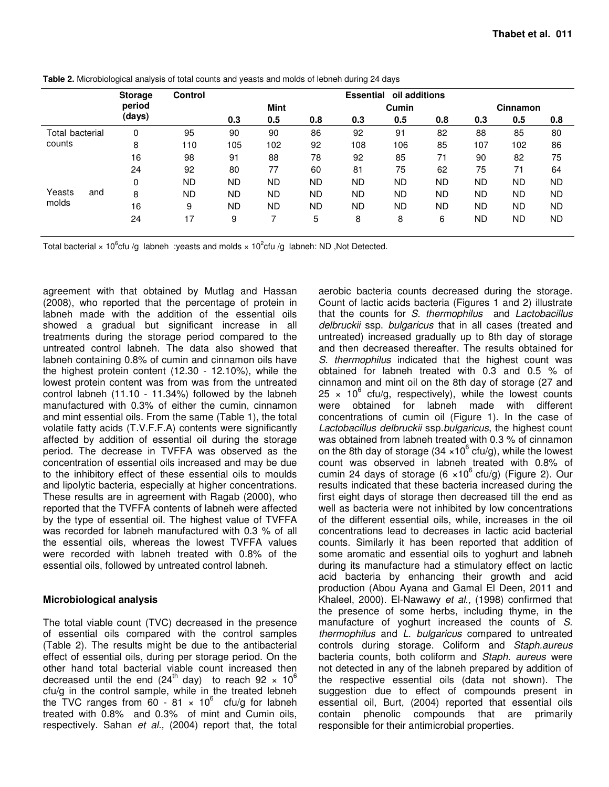|                 |     | <b>Storage</b> | <b>Control</b> | <b>Essential oil additions</b> |           |           |           |           |           |           |           |           |
|-----------------|-----|----------------|----------------|--------------------------------|-----------|-----------|-----------|-----------|-----------|-----------|-----------|-----------|
|                 |     | period         |                | <b>Mint</b>                    |           |           | Cumin     |           |           | Cinnamon  |           |           |
|                 |     | (days)         |                | 0.3                            | 0.5       | 0.8       | 0.3       | 0.5       | 0.8       | 0.3       | 0.5       | 0.8       |
| Total bacterial |     | 0              | 95             | 90                             | 90        | 86        | 92        | 91        | 82        | 88        | 85        | 80        |
| counts          |     | 8              | 110            | 105                            | 102       | 92        | 108       | 106       | 85        | 107       | 102       | 86        |
|                 |     | 16             | 98             | 91                             | 88        | 78        | 92        | 85        | 71        | 90        | 82        | 75        |
|                 |     | 24             | 92             | 80                             | 77        | 60        | 81        | 75        | 62        | 75        | 71        | 64        |
|                 |     | 0              | <b>ND</b>      | <b>ND</b>                      | <b>ND</b> | <b>ND</b> | <b>ND</b> | <b>ND</b> | <b>ND</b> | <b>ND</b> | <b>ND</b> | <b>ND</b> |
| Yeasts<br>molds | and | 8              | <b>ND</b>      | <b>ND</b>                      | ND        | ND.       | ND        | <b>ND</b> | <b>ND</b> | <b>ND</b> | <b>ND</b> | <b>ND</b> |
|                 |     | 16             | 9              | <b>ND</b>                      | <b>ND</b> | <b>ND</b> | <b>ND</b> | <b>ND</b> | <b>ND</b> | <b>ND</b> | <b>ND</b> | <b>ND</b> |
|                 |     | 24             | 17             | 9                              | ⇁         | 5         | 8         | 8         | 6         | ND        | <b>ND</b> | ND        |
|                 |     |                |                |                                |           |           |           |           |           |           |           |           |

**Table 2.** Microbiological analysis of total counts and yeasts and molds of lebneh during 24 days

Total bacterial × 10<sup>6</sup>cfu /g labneh :yeasts and molds × 10<sup>2</sup>cfu /g labneh: ND, Not Detected.

agreement with that obtained by Mutlag and Hassan (2008), who reported that the percentage of protein in labneh made with the addition of the essential oils showed a gradual but significant increase in all treatments during the storage period compared to the untreated control labneh. The data also showed that labneh containing 0.8% of cumin and cinnamon oils have the highest protein content (12.30 - 12.10%), while the lowest protein content was from was from the untreated control labneh (11.10 - 11.34%) followed by the labneh manufactured with 0.3% of either the cumin, cinnamon and mint essential oils. From the same (Table 1), the total volatile fatty acids (T.V.F.F.A) contents were significantly affected by addition of essential oil during the storage period. The decrease in TVFFA was observed as the concentration of essential oils increased and may be due to the inhibitory effect of these essential oils to moulds and lipolytic bacteria, especially at higher concentrations. These results are in agreement with Ragab (2000), who reported that the TVFFA contents of labneh were affected by the type of essential oil. The highest value of TVFFA was recorded for labneh manufactured with 0.3 % of all the essential oils, whereas the lowest TVFFA values were recorded with labneh treated with 0.8% of the essential oils, followed by untreated control labneh.

## **Microbiological analysis**

The total viable count (TVC) decreased in the presence of essential oils compared with the control samples (Table 2). The results might be due to the antibacterial effect of essential oils, during per storage period. On the other hand total bacterial viable count increased then decreased until the end (24<sup>th</sup> day) to reach 92  $\times$  10<sup>6</sup> cfu/g in the control sample, while in the treated lebneh the TVC ranges from  $60 - 81 \times 10^6$  cfu/g for labneh treated with 0.8% and 0.3% of mint and Cumin oils, respectively. Sahan et al., (2004) report that, the total

aerobic bacteria counts decreased during the storage. Count of lactic acids bacteria (Figures 1 and 2) illustrate that the counts for S. thermophilus and Lactobacillus delbruckii ssp. bulgaricus that in all cases (treated and untreated) increased gradually up to 8th day of storage and then decreased thereafter. The results obtained for S. thermophilus indicated that the highest count was obtained for labneh treated with 0.3 and 0.5 % of cinnamon and mint oil on the 8th day of storage (27 and  $25 \times 10^6$  cfu/g, respectively), while the lowest counts were obtained for labneh made with different concentrations of cumin oil (Figure 1). In the case of Lactobacillus delbruckii ssp.bulgaricus, the highest count was obtained from labneh treated with 0.3 % of cinnamon on the 8th day of storage (34  $\times$ 10<sup>6</sup> cfu/g), while the lowest count was observed in labneh treated with 0.8% of cumin 24 days of storage (6  $\times$ 10<sup>6</sup> cfu/g) (Figure 2). Our results indicated that these bacteria increased during the first eight days of storage then decreased till the end as well as bacteria were not inhibited by low concentrations of the different essential oils, while, increases in the oil concentrations lead to decreases in lactic acid bacterial counts. Similarly it has been reported that addition of some aromatic and essential oils to yoghurt and labneh during its manufacture had a stimulatory effect on lactic acid bacteria by enhancing their growth and acid production (Abou Ayana and Gamal El Deen, 2011 and Khaleel, 2000). El-Nawawy et al., (1998) confirmed that the presence of some herbs, including thyme, in the manufacture of yoghurt increased the counts of S. thermophilus and L. bulgaricus compared to untreated controls during storage. Coliform and Staph.aureus bacteria counts, both coliform and Staph. aureus were not detected in any of the labneh prepared by addition of the respective essential oils (data not shown). The suggestion due to effect of compounds present in essential oil, Burt, (2004) reported that essential oils contain phenolic compounds that are primarily responsible for their antimicrobial properties.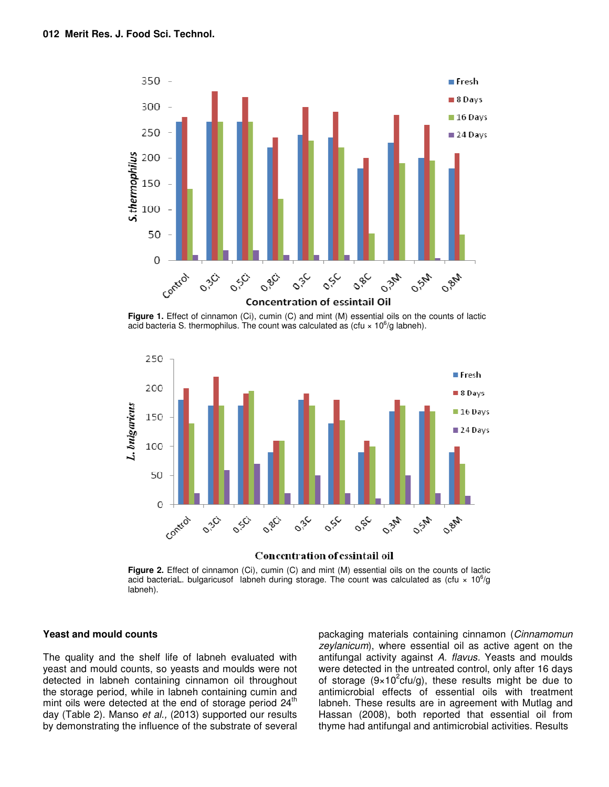

**Figure 1.** Effect of cinnamon (Ci), cumin (C) and mint (M) essential oils on the counts of lactic acid bacteria S. thermophilus. The count was calculated as (cfu  $\times$  10<sup>6</sup>/g labneh).



#### Concentration of essintail oil

**Figure 2.** Effect of cinnamon (Ci), cumin (C) and mint (M) essential oils on the counts of lactic acid bacteriaL. bulgaricusof labneh during storage. The count was calculated as (cfu  $\times$  10<sup>6</sup>/g labneh).

#### **Yeast and mould counts**

The quality and the shelf life of labneh evaluated with yeast and mould counts, so yeasts and moulds were not detected in labneh containing cinnamon oil throughout the storage period, while in labneh containing cumin and mint oils were detected at the end of storage period  $24<sup>th</sup>$ day (Table 2). Manso et al., (2013) supported our results by demonstrating the influence of the substrate of several

packaging materials containing cinnamon (Cinnamomun zeylanicum), where essential oil as active agent on the antifungal activity against A. flavus. Yeasts and moulds were detected in the untreated control, only after 16 days of storage (9×10<sup>2</sup>cfu/g), these results might be due to antimicrobial effects of essential oils with treatment labneh. These results are in agreement with Mutlag and Hassan (2008), both reported that essential oil from thyme had antifungal and antimicrobial activities. Results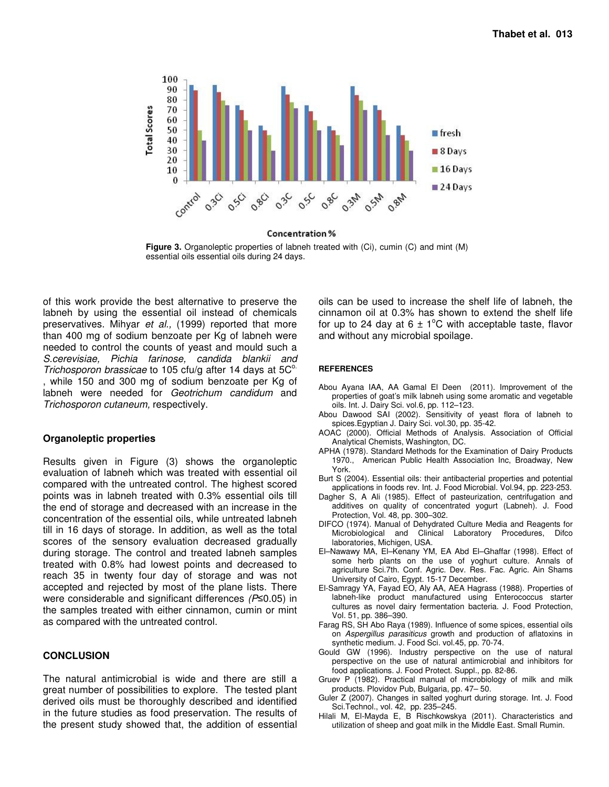

Concentration %

**Figure 3.** Organoleptic properties of labneh treated with (Ci), cumin (C) and mint (M) essential oils essential oils during 24 days.

of this work provide the best alternative to preserve the labneh by using the essential oil instead of chemicals preservatives. Mihyar et al., (1999) reported that more than 400 mg of sodium benzoate per Kg of labneh were needed to control the counts of yeast and mould such a S.cerevisiae, Pichia farinose, candida blankii and Trichosporon brassicae to 105 cfu/g after 14 days at  $5C^{\circ}$ . while 150 and 300 mg of sodium benzoate per Kg of labneh were needed for Geotrichum candidum and Trichosporon cutaneum, respectively.

#### **Organoleptic properties**

Results given in Figure (3) shows the organoleptic evaluation of labneh which was treated with essential oil compared with the untreated control. The highest scored points was in labneh treated with 0.3% essential oils till the end of storage and decreased with an increase in the concentration of the essential oils, while untreated labneh till in 16 days of storage. In addition, as well as the total scores of the sensory evaluation decreased gradually during storage. The control and treated labneh samples treated with 0.8% had lowest points and decreased to reach 35 in twenty four day of storage and was not accepted and rejected by most of the plane lists. There were considerable and significant differences (P≤0.05) in the samples treated with either cinnamon, cumin or mint as compared with the untreated control.

#### **CONCLUSION**

The natural antimicrobial is wide and there are still a great number of possibilities to explore. The tested plant derived oils must be thoroughly described and identified in the future studies as food preservation. The results of the present study showed that, the addition of essential

oils can be used to increase the shelf life of labneh, the cinnamon oil at 0.3% has shown to extend the shelf life for up to 24 day at 6  $\pm$  1<sup>o</sup>C with acceptable taste, flavor and without any microbial spoilage.

#### **REFERENCES**

- Abou Ayana IAA, AA Gamal El Deen (2011). Improvement of the properties of goat's milk labneh using some aromatic and vegetable oils. Int. J. Dairy Sci. vol.6, pp. 112–123.
- Abou Dawood SAI (2002). Sensitivity of yeast flora of labneh to spices.Egyptian J. Dairy Sci. vol.30, pp. 35-42.
- AOAC (2000). Official Methods of Analysis. Association of Official Analytical Chemists, Washington, DC.
- APHA (1978). Standard Methods for the Examination of Dairy Products 1970., American Public Health Association Inc, Broadway, New York.
- Burt S (2004). Essential oils: their antibacterial properties and potential applications in foods rev. Int. J. Food Microbial. Vol.94, pp. 223-253.
- Dagher S, A Ali (1985). Effect of pasteurization, centrifugation and additives on quality of concentrated yogurt (Labneh). J. Food Protection, Vol. 48, pp. 300–302.
- DIFCO (1974). Manual of Dehydrated Culture Media and Reagents for Microbiological and Clinical Laboratory Procedures, Difco laboratories, Michigen, USA.
- El–Nawawy MA, El–Kenany YM, EA Abd El–Ghaffar (1998). Effect of some herb plants on the use of yoghurt culture. Annals of agriculture Sci.7th. Conf. Agric. Dev. Res. Fac. Agric. Ain Shams University of Cairo, Egypt. 15-17 December.
- El-Samragy YA, Fayad EO, Aly AA, AEA Hagrass (1988). Properties of labneh-like product manufactured using Enterococcus starter cultures as novel dairy fermentation bacteria. J. Food Protection, Vol. 51, pp. 386–390.
- Farag RS, SH Abo Raya (1989). Influence of some spices, essential oils on Aspergillus parasiticus growth and production of aflatoxins in synthetic medium. J. Food Sci. vol.45, pp. 70-74.
- Gould GW (1996). Industry perspective on the use of natural perspective on the use of natural antimicrobial and inhibitors for food applications. J. Food Protect. Suppl., pp. 82-86.
- Gruev P (1982). Practical manual of microbiology of milk and milk products. Plovidov Pub, Bulgaria, pp. 47– 50.
- Guler Z (2007). Changes in salted yoghurt during storage. Int. J. Food Sci.Technol., vol. 42, pp. 235–245.
- Hilali M, El-Mayda E, B Rischkowskya (2011). Characteristics and utilization of sheep and goat milk in the Middle East. Small Rumin.